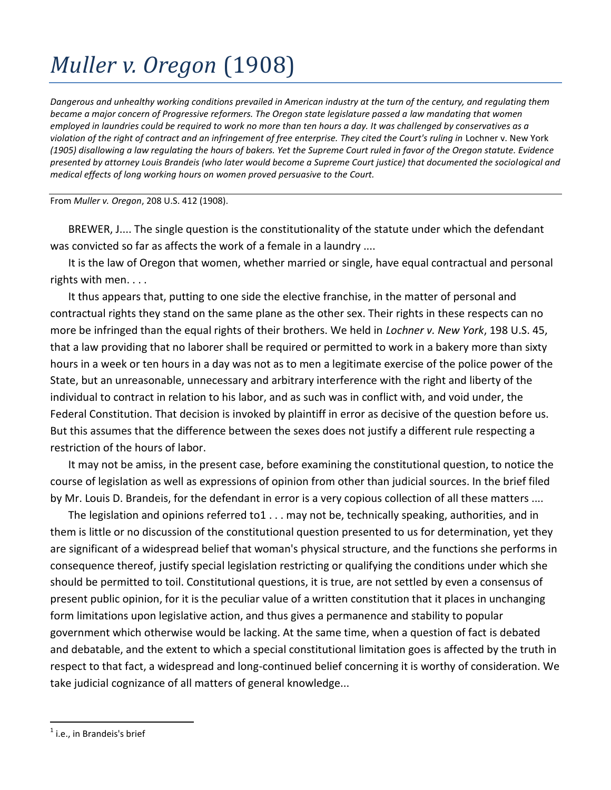## *Muller v. Oregon* (1908)

*Dangerous and unhealthy working conditions prevailed in American industry at the turn of the century, and regulating them became a major concern of Progressive reformers. The Oregon state legislature passed a law mandating that women employed in laundries could be required to work no more than ten hours a day. It was challenged by conservatives as a violation of the right of contract and an infringement of free enterprise. They cited the Court's ruling in* Lochner v. New York *(1905) disallowing a law regulating the hours of bakers. Yet the Supreme Court ruled in favor of the Oregon statute. Evidence presented by attorney Louis Brandeis (who later would become a Supreme Court justice) that documented the sociological and medical effects of long working hours on women proved persuasive to the Court.*

From *Muller v. Oregon*, 208 U.S. 412 (1908).

BREWER, J.... The single question is the constitutionality of the statute under which the defendant was convicted so far as affects the work of a female in a laundry ....

It is the law of Oregon that women, whether married or single, have equal contractual and personal rights with men. . . .

It thus appears that, putting to one side the elective franchise, in the matter of personal and contractual rights they stand on the same plane as the other sex. Their rights in these respects can no more be infringed than the equal rights of their brothers. We held in *Lochner v. New York*, 198 U.S. 45, that a law providing that no laborer shall be required or permitted to work in a bakery more than sixty hours in a week or ten hours in a day was not as to men a legitimate exercise of the police power of the State, but an unreasonable, unnecessary and arbitrary interference with the right and liberty of the individual to contract in relation to his labor, and as such was in conflict with, and void under, the Federal Constitution. That decision is invoked by plaintiff in error as decisive of the question before us. But this assumes that the difference between the sexes does not justify a different rule respecting a restriction of the hours of labor.

It may not be amiss, in the present case, before examining the constitutional question, to notice the course of legislation as well as expressions of opinion from other than judicial sources. In the brief filed by Mr. Louis D. Brandeis, for the defendant in error is a very copious collection of all these matters ....

The legislation and opinions referred to1 . . . may not be, technically speaking, authorities, and in them is little or no discussion of the constitutional question presented to us for determination, yet they are significant of a widespread belief that woman's physical structure, and the functions she performs in consequence thereof, justify special legislation restricting or qualifying the conditions under which she should be permitted to toil. Constitutional questions, it is true, are not settled by even a consensus of present public opinion, for it is the peculiar value of a written constitution that it places in unchanging form limitations upon legislative action, and thus gives a permanence and stability to popular government which otherwise would be lacking. At the same time, when a question of fact is debated and debatable, and the extent to which a special constitutional limitation goes is affected by the truth in respect to that fact, a widespread and long-continued belief concerning it is worthy of consideration. We take judicial cognizance of all matters of general knowledge...

 $\overline{a}$ 

 $<sup>1</sup>$  i.e., in Brandeis's brief</sup>